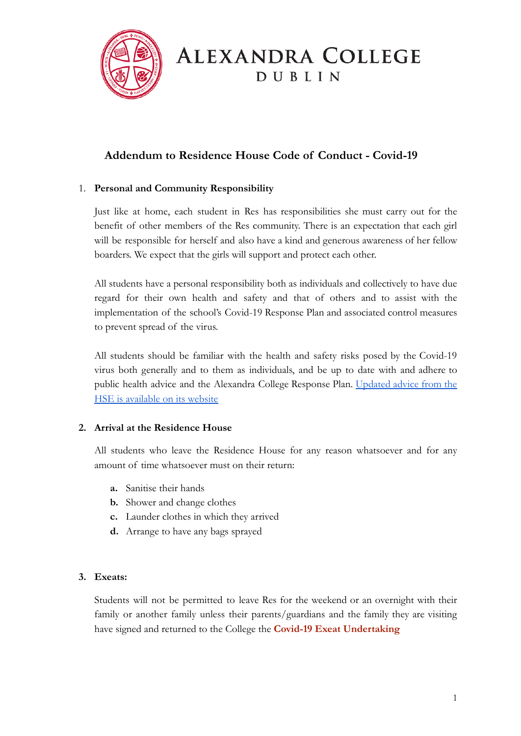

# **ALEXANDRA COLLEGE** DUBLIN

### **Addendum to Residence House Code of Conduct - Covid-19**

#### 1. **Personal and Community Responsibility**

Just like at home, each student in Res has responsibilities she must carry out for the benefit of other members of the Res community. There is an expectation that each girl will be responsible for herself and also have a kind and generous awareness of her fellow boarders. We expect that the girls will support and protect each other.

All students have a personal responsibility both as individuals and collectively to have due regard for their own health and safety and that of others and to assist with the implementation of the school's Covid-19 Response Plan and associated control measures to prevent spread of the virus.

All students should be familiar with the health and safety risks posed by the Covid-19 virus both generally and to them as individuals, and be up to date with and adhere to public health advice and the Alexandra College Response Plan. [Updated](https://www2.hse.ie/coronavirus/) advice from the [HSE is available on its website](https://www2.hse.ie/coronavirus/)

#### **2. Arrival at the Residence House**

All students who leave the Residence House for any reason whatsoever and for any amount of time whatsoever must on their return:

- **a.** Sanitise their hands
- **b.** Shower and change clothes
- **c.** Launder clothes in which they arrived
- **d.** Arrange to have any bags sprayed

#### **3. Exeats:**

Students will not be permitted to leave Res for the weekend or an overnight with their family or another family unless their parents/guardians and the family they are visiting have signed and returned to the College the **Covid-19 Exeat Undertaking**